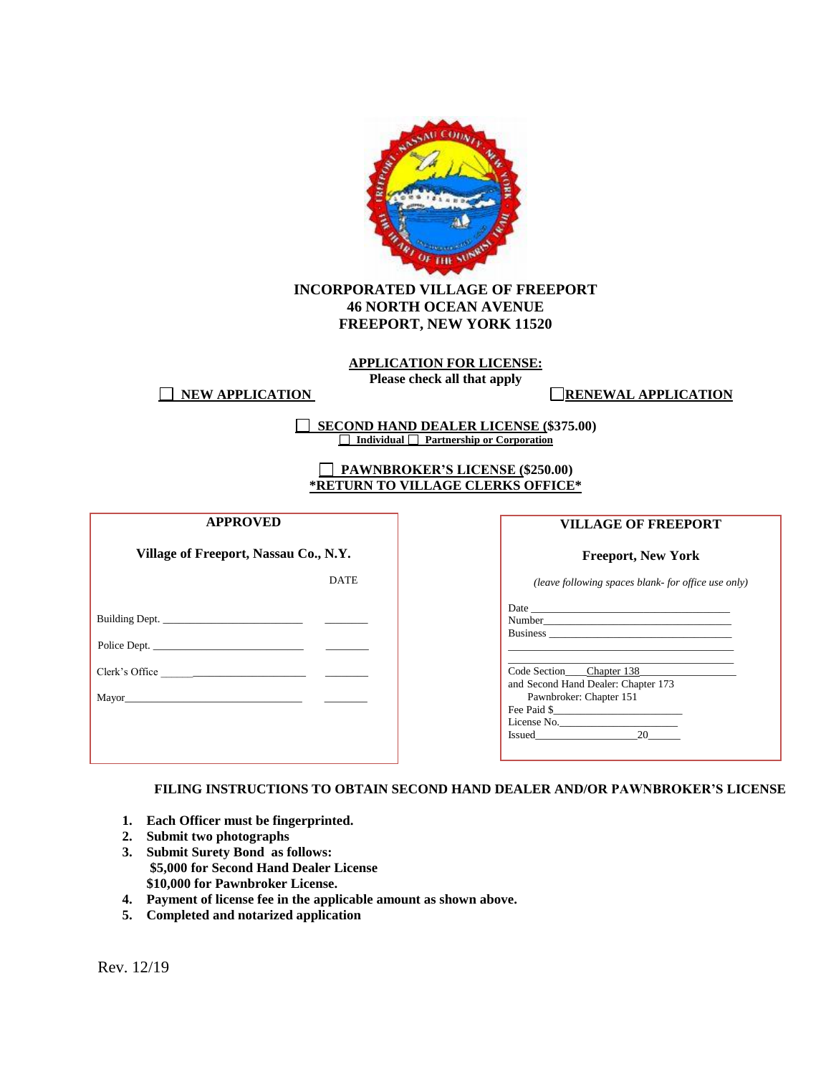

### **INCORPORATED VILLAGE OF FREEPORT 46 NORTH OCEAN AVENUE FREEPORT, NEW YORK 11520**

**APPLICATION FOR LICENSE:** 

**Please check all that apply**

**NEW APPLICATION** RENEWAL APPLICATION

 **SECOND HAND DEALER LICENSE (\$375.00) Individual Partnership or Corporation**

#### **PAWNBROKER'S LICENSE (\$250.00) \*RETURN TO VILLAGE CLERKS OFFICE\***

| <b>APPROVED</b>                       |      |
|---------------------------------------|------|
| Village of Freeport, Nassau Co., N.Y. |      |
|                                       | DATE |
|                                       |      |
|                                       |      |
| Clerk's Office                        |      |
|                                       |      |
|                                       |      |
|                                       |      |

### **VILLAGE OF FREEPORT**

**Freeport, New York**

*(leave following spaces blank- for office use only)*

| the control of the control of the control of the control of the control of |
|----------------------------------------------------------------------------|
| Code Section <sub>____</sub> ___Chapter 138                                |
| and Second Hand Dealer: Chapter 173                                        |
| Pawnbroker: Chapter 151                                                    |
| Fee Paid \$                                                                |
|                                                                            |
|                                                                            |

**FILING INSTRUCTIONS TO OBTAIN SECOND HAND DEALER AND/OR PAWNBROKER'S LICENSE**

- **1. Each Officer must be fingerprinted.**
- **2. Submit two photographs**
- **3. Submit Surety Bond as follows: \$5,000 for Second Hand Dealer License \$10,000 for Pawnbroker License.**
- **4. Payment of license fee in the applicable amount as shown above.**
- **5. Completed and notarized application**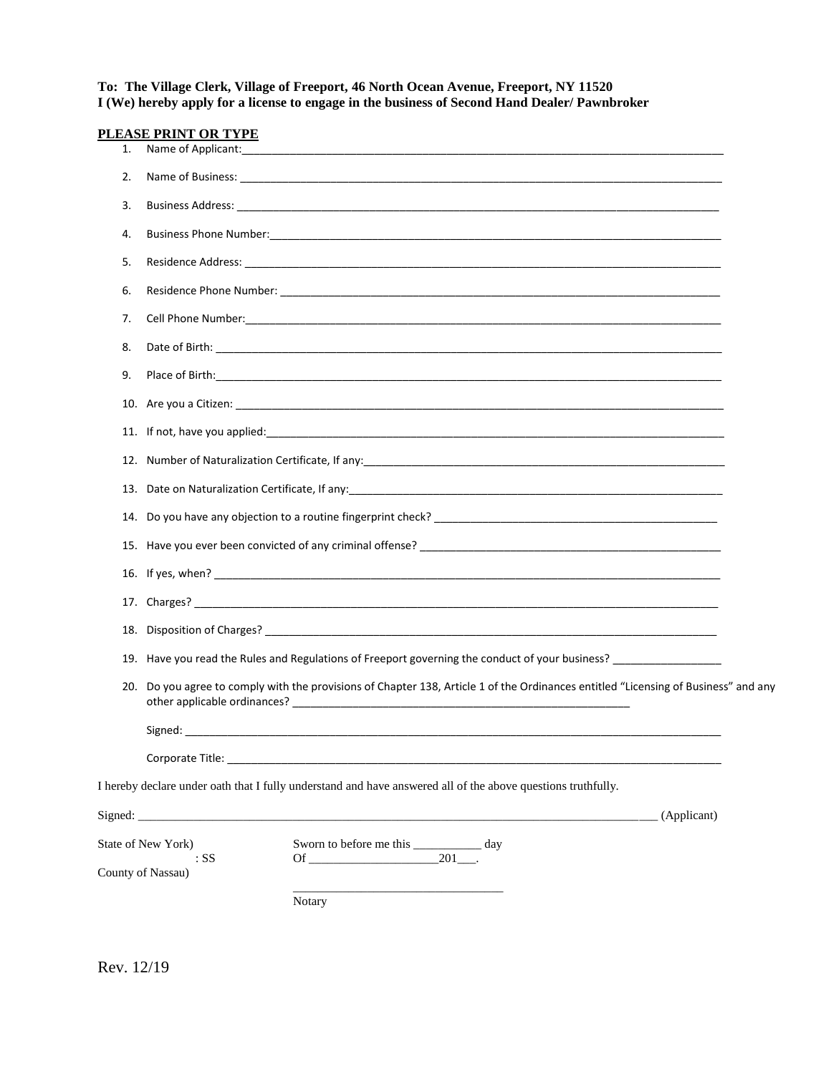**To: The Village Clerk, Village of Freeport, 46 North Ocean Avenue, Freeport, NY 11520 I (We) hereby apply for a license to engage in the business of Second Hand Dealer/ Pawnbroker**

# **PLEASE PRINT OR TYPE**

| 1.  | Name of Applicant:                                                                                                                                                                                                             |                                                                                                                                                                                                                                      |             |  |
|-----|--------------------------------------------------------------------------------------------------------------------------------------------------------------------------------------------------------------------------------|--------------------------------------------------------------------------------------------------------------------------------------------------------------------------------------------------------------------------------------|-------------|--|
| 2.  |                                                                                                                                                                                                                                |                                                                                                                                                                                                                                      |             |  |
| 3.  |                                                                                                                                                                                                                                |                                                                                                                                                                                                                                      |             |  |
| 4.  |                                                                                                                                                                                                                                |                                                                                                                                                                                                                                      |             |  |
| 5.  |                                                                                                                                                                                                                                |                                                                                                                                                                                                                                      |             |  |
| 6.  |                                                                                                                                                                                                                                |                                                                                                                                                                                                                                      |             |  |
| 7.  |                                                                                                                                                                                                                                | Cell Phone Number: <u>contract the contract of the contract of the contract of the contract of the contract of the contract of the contract of the contract of the contract of the contract of the contract of the contract of t</u> |             |  |
| 8.  |                                                                                                                                                                                                                                |                                                                                                                                                                                                                                      |             |  |
| 9.  |                                                                                                                                                                                                                                |                                                                                                                                                                                                                                      |             |  |
|     |                                                                                                                                                                                                                                |                                                                                                                                                                                                                                      |             |  |
|     | 11. If not, have you applied: The same state of the state of the state of the state of the state of the state of the state of the state of the state of the state of the state of the state of the state of the state of the s |                                                                                                                                                                                                                                      |             |  |
|     | 12. Number of Naturalization Certificate, If any: 12. Number 2014 12. Number of Naturalization Certificate, If any:                                                                                                            |                                                                                                                                                                                                                                      |             |  |
|     | 13. Date on Naturalization Certificate, If any: 13. The Context of the Context of the Context of the Context of                                                                                                                |                                                                                                                                                                                                                                      |             |  |
|     |                                                                                                                                                                                                                                |                                                                                                                                                                                                                                      |             |  |
|     |                                                                                                                                                                                                                                |                                                                                                                                                                                                                                      |             |  |
|     |                                                                                                                                                                                                                                |                                                                                                                                                                                                                                      |             |  |
|     |                                                                                                                                                                                                                                |                                                                                                                                                                                                                                      |             |  |
|     |                                                                                                                                                                                                                                |                                                                                                                                                                                                                                      |             |  |
|     |                                                                                                                                                                                                                                | 19. Have you read the Rules and Regulations of Freeport governing the conduct of your business?                                                                                                                                      |             |  |
| 20. |                                                                                                                                                                                                                                | Do you agree to comply with the provisions of Chapter 138, Article 1 of the Ordinances entitled "Licensing of Business" and any                                                                                                      |             |  |
|     |                                                                                                                                                                                                                                |                                                                                                                                                                                                                                      |             |  |
|     | Corporate Title:                                                                                                                                                                                                               |                                                                                                                                                                                                                                      |             |  |
|     |                                                                                                                                                                                                                                | I hereby declare under oath that I fully understand and have answered all of the above questions truthfully.                                                                                                                         |             |  |
|     |                                                                                                                                                                                                                                | Signed:                                                                                                                                                                                                                              | (Applicant) |  |
|     | State of New York)                                                                                                                                                                                                             | Sworn to before me this ____________ day                                                                                                                                                                                             |             |  |
|     | :SS<br>County of Nassau)                                                                                                                                                                                                       |                                                                                                                                                                                                                                      |             |  |
|     |                                                                                                                                                                                                                                | Notary                                                                                                                                                                                                                               |             |  |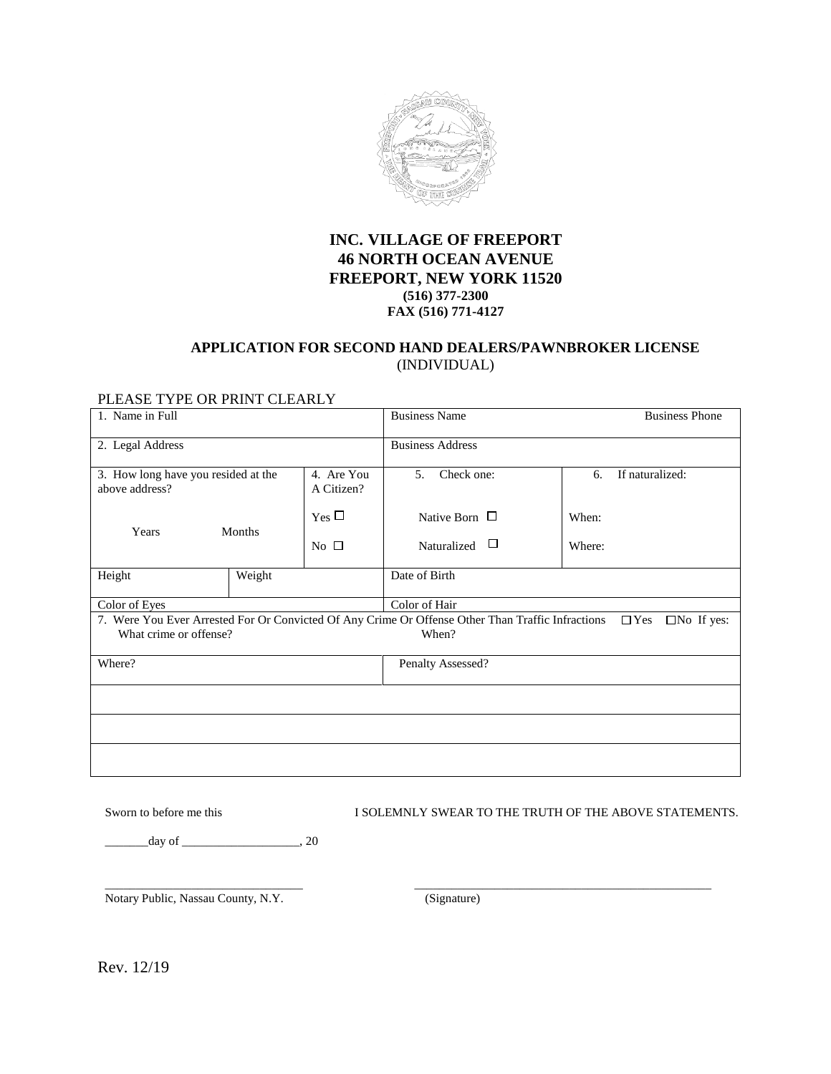

# **INC. VILLAGE OF FREEPORT 46 NORTH OCEAN AVENUE FREEPORT, NEW YORK 11520 (516) 377-2300 FAX (516) 771-4127**

### **APPLICATION FOR SECOND HAND DEALERS/PAWNBROKER LICENSE** (INDIVIDUAL)

#### PLEASE TYPE OR PRINT CLEARLY

| 1. Name in Full                                                                                                                                                         |  | <b>Business Name</b>     |                         | <b>Business Phone</b> |                 |
|-------------------------------------------------------------------------------------------------------------------------------------------------------------------------|--|--------------------------|-------------------------|-----------------------|-----------------|
| 2. Legal Address                                                                                                                                                        |  |                          | <b>Business Address</b> |                       |                 |
| 3. How long have you resided at the<br>above address?                                                                                                                   |  | 4. Are You<br>A Citizen? | Check one:<br>5.        | 6.                    | If naturalized: |
|                                                                                                                                                                         |  | $Yes \Box$               | Native Born $\Box$      | When:                 |                 |
| Months<br>Years                                                                                                                                                         |  | No $\Box$                | ப<br>Naturalized        | Where:                |                 |
| Weight<br>Height                                                                                                                                                        |  | Date of Birth            |                         |                       |                 |
| Color of Eyes                                                                                                                                                           |  | Color of Hair            |                         |                       |                 |
| 7. Were You Ever Arrested For Or Convicted Of Any Crime Or Offense Other Than Traffic Infractions<br>$\Box$ Yes<br>$\Box$ No If yes:<br>What crime or offense?<br>When? |  |                          |                         |                       |                 |
| Where?                                                                                                                                                                  |  | Penalty Assessed?        |                         |                       |                 |
|                                                                                                                                                                         |  |                          |                         |                       |                 |
|                                                                                                                                                                         |  |                          |                         |                       |                 |
|                                                                                                                                                                         |  |                          |                         |                       |                 |

Sworn to before me this **ISOLEMNLY SWEAR TO THE TRUTH OF THE ABOVE STATEMENTS.** 

 $\_\text{day of} \_\_\_\_\_\_\$  20

\_\_\_\_\_\_\_\_\_\_\_\_\_\_\_\_\_\_\_\_\_\_\_\_\_\_\_\_\_\_\_\_ \_\_\_\_\_\_\_\_\_\_\_\_\_\_\_\_\_\_\_\_\_\_\_\_\_\_\_\_\_\_\_\_\_\_\_\_\_\_\_\_\_\_\_\_\_\_\_\_ Notary Public, Nassau County, N.Y. (Signature)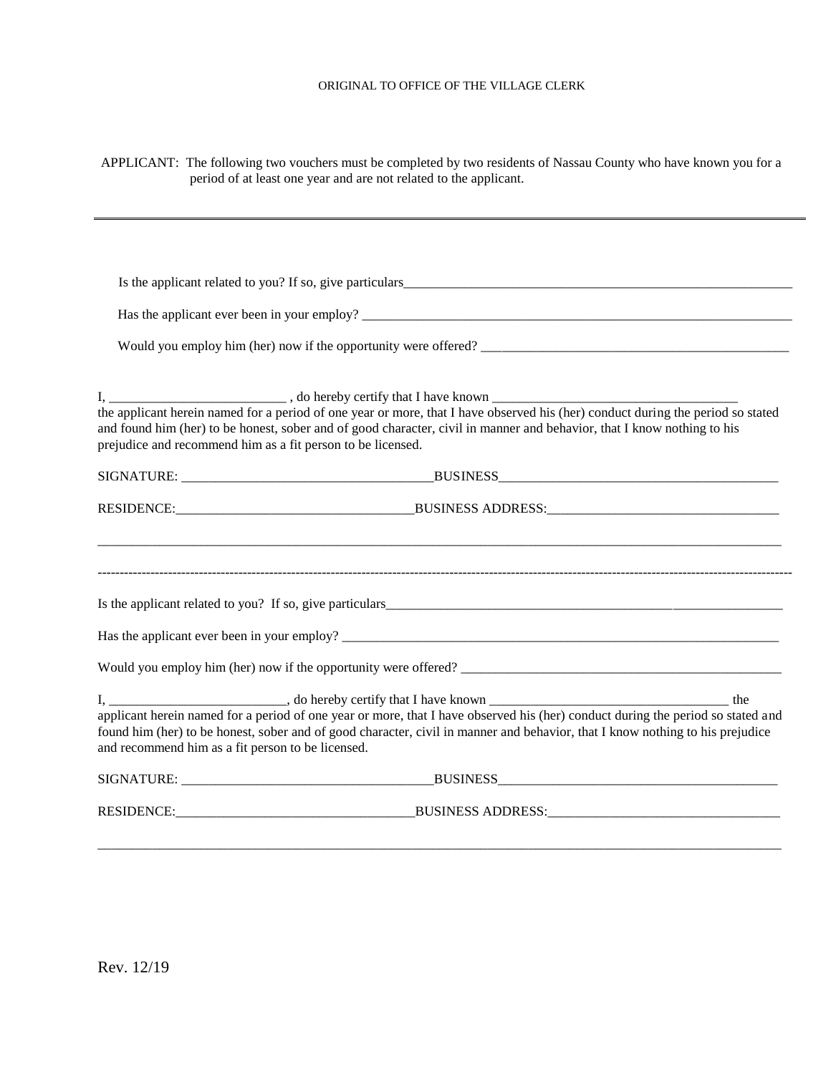#### ORIGINAL TO OFFICE OF THE VILLAGE CLERK

APPLICANT: The following two vouchers must be completed by two residents of Nassau County who have known you for a period of at least one year and are not related to the applicant.

| and found him (her) to be honest, sober and of good character, civil in manner and behavior, that I know nothing to his<br>prejudice and recommend him as a fit person to be licensed.                                                                                                                                |
|-----------------------------------------------------------------------------------------------------------------------------------------------------------------------------------------------------------------------------------------------------------------------------------------------------------------------|
|                                                                                                                                                                                                                                                                                                                       |
|                                                                                                                                                                                                                                                                                                                       |
|                                                                                                                                                                                                                                                                                                                       |
|                                                                                                                                                                                                                                                                                                                       |
|                                                                                                                                                                                                                                                                                                                       |
|                                                                                                                                                                                                                                                                                                                       |
| applicant herein named for a period of one year or more, that I have observed his (her) conduct during the period so stated and<br>found him (her) to be honest, sober and of good character, civil in manner and behavior, that I know nothing to his prejudice<br>and recommend him as a fit person to be licensed. |
|                                                                                                                                                                                                                                                                                                                       |
|                                                                                                                                                                                                                                                                                                                       |

\_\_\_\_\_\_\_\_\_\_\_\_\_\_\_\_\_\_\_\_\_\_\_\_\_\_\_\_\_\_\_\_\_\_\_\_\_\_\_\_\_\_\_\_\_\_\_\_\_\_\_\_\_\_\_\_\_\_\_\_\_\_\_\_\_\_\_\_\_\_\_\_\_\_\_\_\_\_\_\_\_\_\_\_\_\_\_\_\_\_\_\_\_\_\_\_\_\_\_\_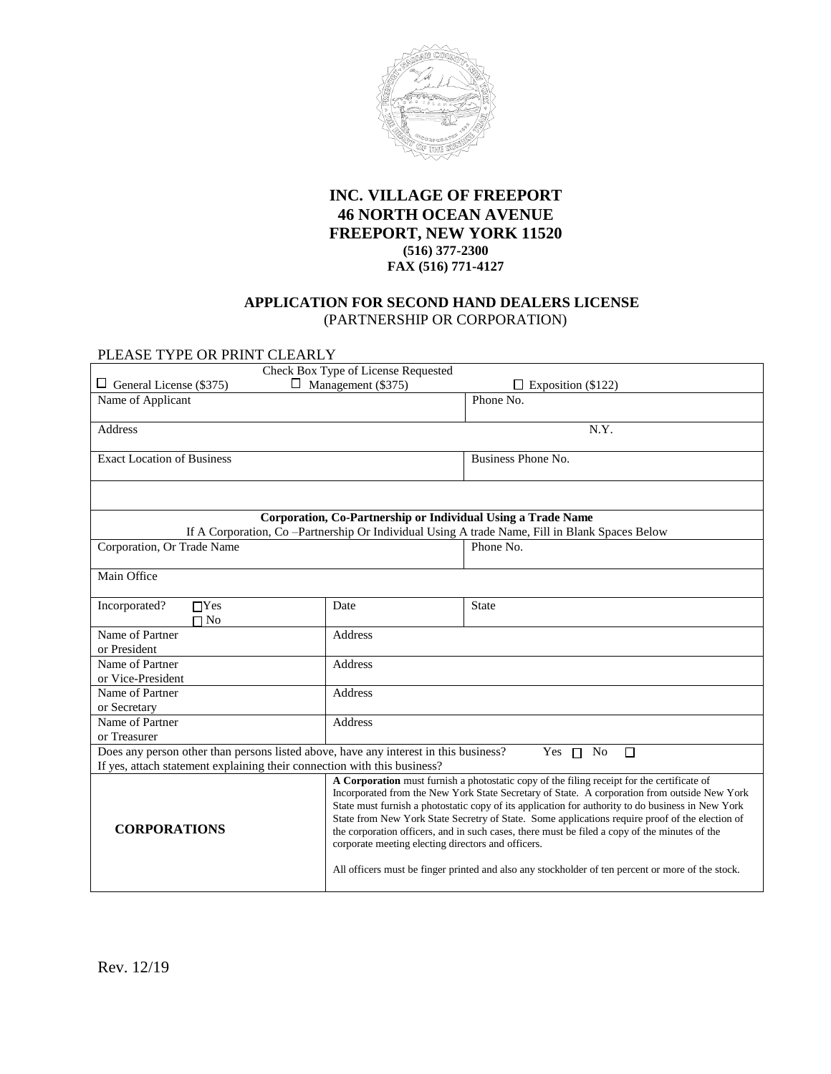

# **INC. VILLAGE OF FREEPORT 46 NORTH OCEAN AVENUE FREEPORT, NEW YORK 11520 (516) 377-2300 FAX (516) 771-4127**

### **APPLICATION FOR SECOND HAND DEALERS LICENSE** (PARTNERSHIP OR CORPORATION)

#### PLEASE TYPE OR PRINT CLEARLY

|                                                                                                                 | Check Box Type of License Requested                                                               |                                                                                                                                                                                            |  |
|-----------------------------------------------------------------------------------------------------------------|---------------------------------------------------------------------------------------------------|--------------------------------------------------------------------------------------------------------------------------------------------------------------------------------------------|--|
| General License (\$375)                                                                                         | $\Box$ Management (\$375)                                                                         | $\Box$ Exposition (\$122)                                                                                                                                                                  |  |
| Name of Applicant                                                                                               |                                                                                                   | Phone No.                                                                                                                                                                                  |  |
|                                                                                                                 |                                                                                                   |                                                                                                                                                                                            |  |
| <b>Address</b>                                                                                                  |                                                                                                   | N.Y.                                                                                                                                                                                       |  |
| <b>Exact Location of Business</b>                                                                               |                                                                                                   | Business Phone No.                                                                                                                                                                         |  |
|                                                                                                                 |                                                                                                   |                                                                                                                                                                                            |  |
|                                                                                                                 |                                                                                                   |                                                                                                                                                                                            |  |
|                                                                                                                 |                                                                                                   |                                                                                                                                                                                            |  |
|                                                                                                                 | Corporation, Co-Partnership or Individual Using a Trade Name                                      |                                                                                                                                                                                            |  |
|                                                                                                                 |                                                                                                   | If A Corporation, Co-Partnership Or Individual Using A trade Name, Fill in Blank Spaces Below                                                                                              |  |
| Corporation, Or Trade Name                                                                                      |                                                                                                   | Phone No.                                                                                                                                                                                  |  |
|                                                                                                                 |                                                                                                   |                                                                                                                                                                                            |  |
| Main Office                                                                                                     |                                                                                                   |                                                                                                                                                                                            |  |
|                                                                                                                 |                                                                                                   |                                                                                                                                                                                            |  |
| $\Box$ Yes<br>Incorporated?<br>$\Box$ No                                                                        | Date                                                                                              | <b>State</b>                                                                                                                                                                               |  |
| Name of Partner                                                                                                 | <b>Address</b>                                                                                    |                                                                                                                                                                                            |  |
| or President                                                                                                    |                                                                                                   |                                                                                                                                                                                            |  |
| Name of Partner                                                                                                 | <b>Address</b>                                                                                    |                                                                                                                                                                                            |  |
| or Vice-President                                                                                               |                                                                                                   |                                                                                                                                                                                            |  |
| Name of Partner                                                                                                 | <b>Address</b>                                                                                    |                                                                                                                                                                                            |  |
| or Secretary                                                                                                    |                                                                                                   |                                                                                                                                                                                            |  |
| Name of Partner                                                                                                 | <b>Address</b>                                                                                    |                                                                                                                                                                                            |  |
| or Treasurer                                                                                                    |                                                                                                   |                                                                                                                                                                                            |  |
| Does any person other than persons listed above, have any interest in this business?<br>$\Box$<br>Yes $\Box$ No |                                                                                                   |                                                                                                                                                                                            |  |
| If yes, attach statement explaining their connection with this business?                                        |                                                                                                   |                                                                                                                                                                                            |  |
|                                                                                                                 |                                                                                                   | A Corporation must furnish a photostatic copy of the filing receipt for the certificate of<br>Incorporated from the New York State Secretary of State. A corporation from outside New York |  |
|                                                                                                                 | State must furnish a photostatic copy of its application for authority to do business in New York |                                                                                                                                                                                            |  |
|                                                                                                                 | State from New York State Secretry of State. Some applications require proof of the election of   |                                                                                                                                                                                            |  |
| <b>CORPORATIONS</b>                                                                                             | the corporation officers, and in such cases, there must be filed a copy of the minutes of the     |                                                                                                                                                                                            |  |
|                                                                                                                 | corporate meeting electing directors and officers.                                                |                                                                                                                                                                                            |  |
|                                                                                                                 | All officers must be finger printed and also any stockholder of ten percent or more of the stock. |                                                                                                                                                                                            |  |
|                                                                                                                 |                                                                                                   |                                                                                                                                                                                            |  |